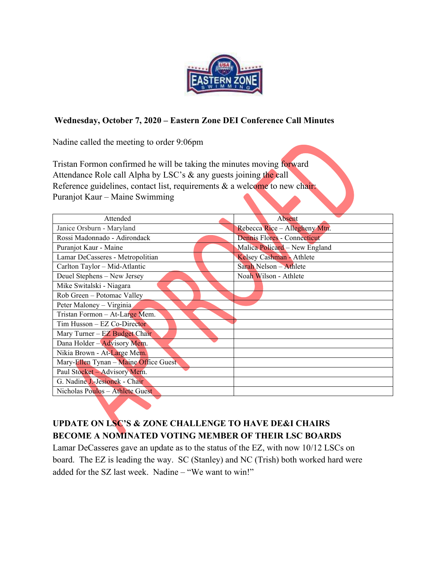

## **Wednesday, October 7, 2020 – Eastern Zone DEI Conference Call Minutes**

Nadine called the meeting to order 9:06pm

Tristan Formon confirmed he will be taking the minutes moving forward Attendance Role call Alpha by LSC's & any guests joining the call Reference guidelines, contact list, requirements & a welcome to new chair: Puranjot Kaur – Maine Swimming

| Attended                              | Absent                        |
|---------------------------------------|-------------------------------|
| Janice Orsburn - Maryland             | Rebecca Rice - Allegheny Mtn. |
| Rossi Madonnado - Adirondack          | Dennis Flores - Connecticut   |
| Puranjot Kaur - Maine                 | Malica Policard - New England |
| Lamar DeCasseres - Metropolitian      | Kelsey Cashman - Athlete      |
| Carlton Taylor - Mid-Atlantic         | Sarah Nelson - Athlete        |
| Deuel Stephens - New Jersey           | Noah Wilson - Athlete         |
| Mike Switalski - Niagara              |                               |
| Rob Green - Potomac Valley            |                               |
| Peter Maloney - Virginia              |                               |
| Tristan Formon - At-Large Mem.        |                               |
| Tim Husson - EZ Co-Director           |                               |
| Mary Turner – EZ Budget Chair         |                               |
| Dana Holder - Advisory Mem.           |                               |
| Nikia Brown - At-Large Mem.           |                               |
| Mary-Ellen Tynan - Maine Office Guest |                               |
| Paul Stocket - Advisory Mem.          |                               |
| G. Nadine J.-Jesionek - Chair         |                               |
| Nicholas Poulos - Athlete Guest       |                               |

# **UPDATE ON LSC'S & ZONE CHALLENGE TO HAVE DE&I CHAIRS BECOME A NOMINATED VOTING MEMBER OF THEIR LSC BOARDS**

Lamar DeCasseres gave an update as to the status of the EZ, with now 10/12 LSCs on board. The EZ is leading the way. SC (Stanley) and NC (Trish) both worked hard were added for the SZ last week. Nadine – "We want to win!"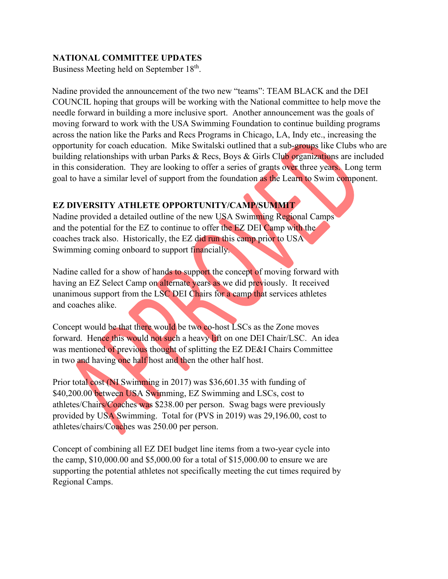### **NATIONAL COMMITTEE UPDATES**

Business Meeting held on September 18<sup>th</sup>.

Nadine provided the announcement of the two new "teams": TEAM BLACK and the DEI COUNCIL hoping that groups will be working with the National committee to help move the needle forward in building a more inclusive sport. Another announcement was the goals of moving forward to work with the USA Swimming Foundation to continue building programs across the nation like the Parks and Recs Programs in Chicago, LA, Indy etc., increasing the opportunity for coach education. Mike Switalski outlined that a sub-groups like Clubs who are building relationships with urban Parks & Recs, Boys & Girls Club organizations are included in this consideration. They are looking to offer a series of grants over three years. Long term goal to have a similar level of support from the foundation as the Learn to Swim component.

## **EZ DIVERSITY ATHLETE OPPORTUNITY/CAMP/SUMMIT**

Nadine provided a detailed outline of the new USA Swimming Regional Camps and the potential for the EZ to continue to offer the EZ DEI Camp with the coaches track also. Historically, the EZ did run this camp prior to USA Swimming coming onboard to support financially.

Nadine called for a show of hands to support the concept of moving forward with having an EZ Select Camp on alternate years as we did previously. It received unanimous support from the LSC DEI Chairs for a camp that services athletes and coaches alike.

Concept would be that there would be two co-host LSCs as the Zone moves forward. Hence this would not such a heavy lift on one DEI Chair/LSC. An idea was mentioned of previous thought of splitting the EZ DE&I Chairs Committee in two and having one half host and then the other half host.

Prior total cost (NI Swimming in 2017) was \$36,601.35 with funding of \$40,200.00 between USA Swimming, EZ Swimming and LSCs, cost to athletes/Chairs/Coaches was \$238.00 per person. Swag bags were previously provided by USA Swimming. Total for (PVS in 2019) was 29,196.00, cost to athletes/chairs/Coaches was 250.00 per person.

Concept of combining all EZ DEI budget line items from a two-year cycle into the camp, \$10,000.00 and \$5,000.00 for a total of \$15,000.00 to ensure we are supporting the potential athletes not specifically meeting the cut times required by Regional Camps.